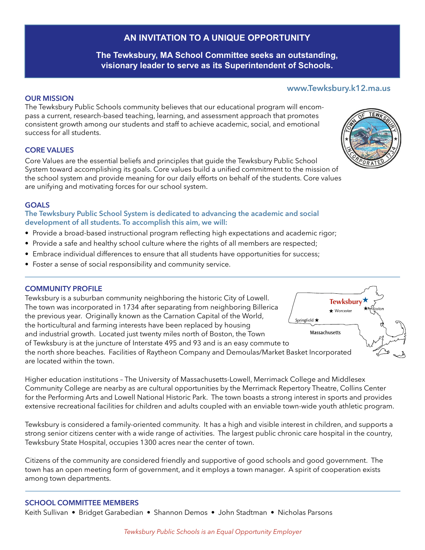# **AN INVITATION TO A UNIQUE OPPORTUNITY**

## **The Tewksbury, MA School Committee seeks an outstanding, visionary leader to serve as its Superintendent of Schools.**

### **OUR MISSION**

The Tewksbury Public Schools community believes that our educational program will encompass a current, research-based teaching, learning, and assessment approach that promotes consistent growth among our students and staff to achieve academic, social, and emotional success for all students.

#### **CORE VALUES**

Core Values are the essential beliefs and principles that guide the Tewksbury Public School System toward accomplishing its goals. Core values build a unified commitment to the mission of the school system and provide meaning for our daily efforts on behalf of the students. Core values are unifying and motivating forces for our school system.

### **GOALS**

**The Tewksbury Public School System is dedicated to advancing the academic and social development of all students. To accomplish this aim, we will:**

- Provide a broad-based instructional program reflecting high expectations and academic rigor;
- Provide a safe and healthy school culture where the rights of all members are respected;
- Embrace individual differences to ensure that all students have opportunities for success;
- Foster a sense of social responsibility and community service.

#### **COMMUNITY PROFILE**

Tewksbury is a suburban community neighboring the historic City of Lowell. The town was incorporated in 1734 after separating from neighboring Billerica the previous year. Originally known as the Carnation Capital of the World,  $\frac{1}{\sqrt{2}}$ the horticultural and farming interests have been replaced by housing Massachusetts and industrial growth. Located just twenty miles north of Boston, the Town of Tewksbury is at the juncture of Interstate 495 and 93 and is an easy commute to the north shore beaches. Facilities of Raytheon Company and Demoulas/Market Basket Incorporated are located within the town.

Higher education institutions – The University of Massachusetts-Lowell, Merrimack College and Middlesex Community College are nearby as are cultural opportunities by the Merrimack Repertory Theatre, Collins Center for the Performing Arts and Lowell National Historic Park. The town boasts a strong interest in sports and provides extensive recreational facilities for children and adults coupled with an enviable town-wide youth athletic program.

Tewksbury is considered a family-oriented community. It has a high and visible interest in children, and supports a strong senior citizens center with a wide range of activities. The largest public chronic care hospital in the country, Tewksbury State Hospital, occupies 1300 acres near the center of town.

Citizens of the community are considered friendly and supportive of good schools and good government. The town has an open meeting form of government, and it employs a town manager. A spirit of cooperation exists among town departments.

#### **SCHOOL COMMITTEE MEMBERS**

Keith Sullivan • Bridget Garabedian • Shannon Demos • John Stadtman • Nicholas Parsons



**www.Tewksbury.k12.ma.us**

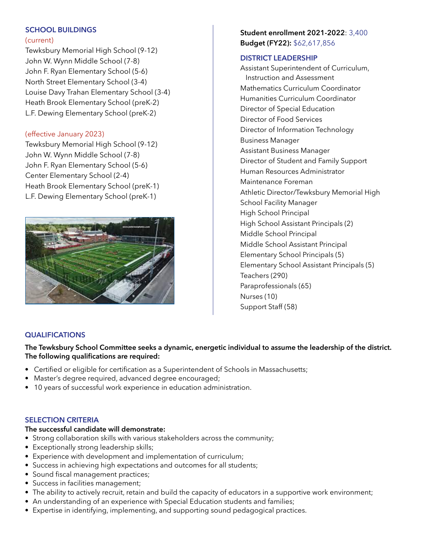## **SCHOOL BUILDINGS**

### (current)

Tewksbury Memorial High School (9-12) John W. Wynn Middle School (7-8) John F. Ryan Elementary School (5-6) North Street Elementary School (3-4) Louise Davy Trahan Elementary School (3-4) Heath Brook Elementary School (preK-2) L.F. Dewing Elementary School (preK-2)

## (effective January 2023)

Tewksbury Memorial High School (9-12) John W. Wynn Middle School (7-8) John F. Ryan Elementary School (5-6) Center Elementary School (2-4) Heath Brook Elementary School (preK-1) L.F. Dewing Elementary School (preK-1)



## **Student enrollment 2021-2022**: 3,400 **Budget (FY22):** \$62,617,856

### **DISTRICT LEADERSHIP**

Assistant Superintendent of Curriculum, Instruction and Assessment Mathematics Curriculum Coordinator Humanities Curriculum Coordinator Director of Special Education Director of Food Services Director of Information Technology Business Manager Assistant Business Manager Director of Student and Family Support Human Resources Administrator Maintenance Foreman Athletic Director/Tewksbury Memorial High School Facility Manager High School Principal High School Assistant Principals (2) Middle School Principal Middle School Assistant Principal Elementary School Principals (5) Elementary School Assistant Principals (5) Teachers (290) Paraprofessionals (65) Nurses (10) Support Staff (58)

## **QUALIFICATIONS**

## **The Tewksbury School Committee seeks a dynamic, energetic individual to assume the leadership of the district. The following qualifications are required:**

- Certified or eligible for certification as a Superintendent of Schools in Massachusetts;
- Master's degree required, advanced degree encouraged;
- 10 years of successful work experience in education administration.

## **SELECTION CRITERIA**

## **The successful candidate will demonstrate:**

- Strong collaboration skills with various stakeholders across the community;
- Exceptionally strong leadership skills;
- Experience with development and implementation of curriculum;
- Success in achieving high expectations and outcomes for all students;
- Sound fiscal management practices;
- Success in facilities management;
- The ability to actively recruit, retain and build the capacity of educators in a supportive work environment;
- An understanding of an experience with Special Education students and families;
- Expertise in identifying, implementing, and supporting sound pedagogical practices.